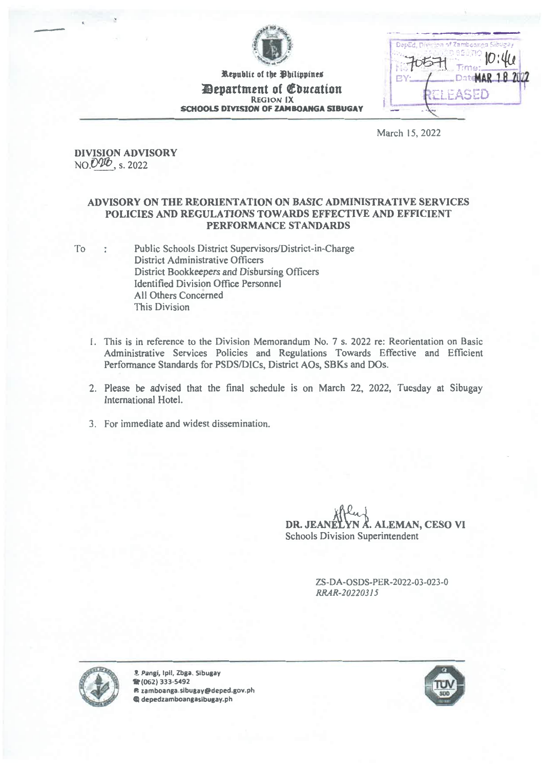

Republic of the Philippines *Pepartment of Education* **REGION IX SCHOOLS DIVISION OF ZAMBOANGA SIBUGAY** 

|    | DepEd, Divinion of Zamboanga Sibugay |  |  |
|----|--------------------------------------|--|--|
|    | Time:                                |  |  |
| 保光 | .DateMAR 18                          |  |  |
|    | PEL PASED                            |  |  |

March 15, 2022

**DIVISION ADVISORY** NO.020, s. 2022

#### ADVISORY ON THE REORIENTATION ON BASIC ADMINISTRATIVE SERVICES POLICIES AND REGULATIONS TOWARDS EFFECTIVE AND EFFICIENT PERFORMANCE STANDARDS

Public Schools District Supervisors/District-in-Charge To  $\bar{\zeta}$ District Administrative Officers District Bookkeepers and Disbursing Officers **Identified Division Office Personnel** All Others Concerned This Division

- 1. This is in reference to the Division Memorandum No. 7 s. 2022 re: Reorientation on Basic Administrative Services Policies and Regulations Towards Effective and Efficient Performance Standards for PSDS/DICs, District AOs, SBKs and DOs.
- 2. Please be advised that the final schedule is on March 22, 2022, Tuesday at Sibugay International Hotel.
- 3. For immediate and widest dissemination.

4. ALEMAN, CESO VI DR. JEANÉ Schools Division Superintendent

> ZS-DA-OSDS-PER-2022-03-023-0 RRAR-20220315



8 Pangi, Ipil, Zbga. Sibugay 雷(062) 333-5492 @ zamboanga.sibugay@deped.gov.ph @ depedzamboangasibugay.ph

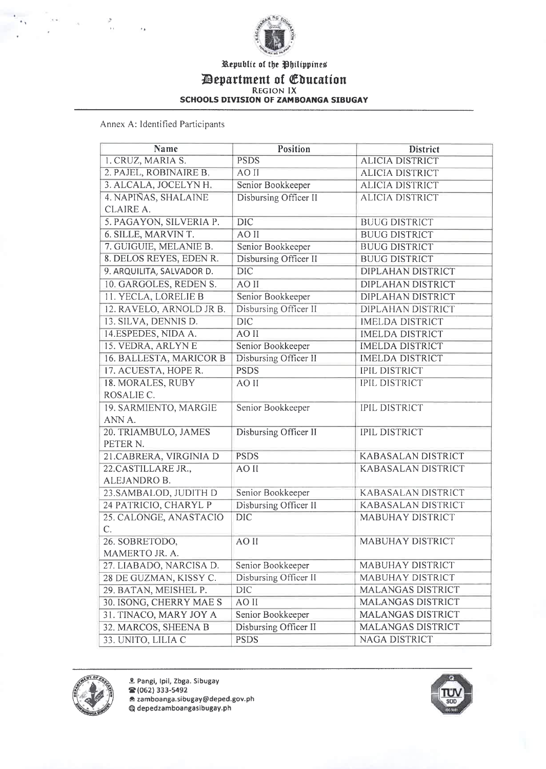

## Republic of the Philippines IlDepartment of Cbucation REGION IX SCHOOLS DIVISION OF ZAMBOANGA SIBUGAY

Annex A: Identified Participants

| Name                      | Position                     | <b>District</b>           |
|---------------------------|------------------------------|---------------------------|
| 1. CRUZ, MARIA S.         | <b>PSDS</b>                  | <b>ALICIA DISTRICT</b>    |
| 2. PAJEL, ROBINAIRE B.    | AO II                        | <b>ALICIA DISTRICT</b>    |
| 3. ALCALA, JOCELYN H.     | Senior Bookkeeper            | <b>ALICIA DISTRICT</b>    |
| 4. NAPIÑAS, SHALAINE      | <b>Disbursing Officer II</b> | <b>ALICIA DISTRICT</b>    |
| CLAIRE A.                 |                              |                           |
| 5. PAGAYON, SILVERIA P.   | $\overline{DIC}$             | <b>BUUG DISTRICT</b>      |
| 6. SILLE, MARVIN T.       | AO II                        | <b>BUUG DISTRICT</b>      |
| 7. GUIGUIE, MELANIE B.    | Senior Bookkeeper            | <b>BUUG DISTRICT</b>      |
| 8. DELOS REYES, EDEN R.   | Disbursing Officer II        | <b>BUUG DISTRICT</b>      |
| 9. ARQUILITA, SALVADOR D. | DIC                          | <b>DIPLAHAN DISTRICT</b>  |
| 10. GARGOLES, REDEN S.    | AO II                        | DIPLAHAN DISTRICT         |
| 11. YECLA, LORELIE B      | Senior Bookkeeper            | <b>DIPLAHAN DISTRICT</b>  |
| 12, RAVELO, ARNOLD JR B.  | Disbursing Officer II        | <b>DIPLAHAN DISTRICT</b>  |
| 13. SILVA, DENNIS D.      | <b>DIC</b>                   | <b>IMELDA DISTRICT</b>    |
| 14.ESPEDES, NIDA A.       | AO II                        | <b>IMELDA DISTRICT</b>    |
| 15. VEDRA, ARLYN E        | Senior Bookkeeper            | <b>IMELDA DISTRICT</b>    |
| 16. BALLESTA, MARICOR B   | Disbursing Officer II        | <b>IMELDA DISTRICT</b>    |
| 17. ACUESTA, HOPE R.      | <b>PSDS</b>                  | <b>IPIL DISTRICT</b>      |
| 18. MORALES, RUBY         | AO II                        | <b>IPIL DISTRICT</b>      |
| ROSALIE C.                |                              |                           |
| 19. SARMIENTO, MARGIE     | Senior Bookkeeper            | <b>IPIL DISTRICT</b>      |
| ANN A.                    |                              |                           |
| 20. TRIAMBULO, JAMES      | Disbursing Officer II        | <b>IPIL DISTRICT</b>      |
| PETER N.                  |                              |                           |
| 21.CABRERA, VIRGINIA D    | <b>PSDS</b>                  | <b>KABASALAN DISTRICT</b> |
| 22.CASTILLARE JR.,        | AO II                        | <b>KABASALAN DISTRICT</b> |
| ALEJANDRO B.              |                              |                           |
| 23.SAMBALOD, JUDITH D     | Senior Bookkeeper            | <b>KABASALAN DISTRICT</b> |
| 24 PATRICIO, CHARYL P     | Disbursing Officer II        | <b>KABASALAN DISTRICT</b> |
| 25. CALONGE, ANASTACIO    | <b>DIC</b>                   | <b>MABUHAY DISTRICT</b>   |
| $C_{\cdot}$               |                              |                           |
| 26. SOBRETODO,            | AO II                        | <b>MABUHAY DISTRICT</b>   |
| MAMERTO JR. A.            |                              |                           |
| 27. LIABADO, NARCISA D.   | Senior Bookkeeper            | <b>MABUHAY DISTRICT</b>   |
| 28 DE GUZMAN, KISSY C.    | Disbursing Officer II        | <b>MABUHAY DISTRICT</b>   |
| 29. BATAN, MEISHEL P.     | DIC                          | MALANGAS DISTRICT         |
| 30. ISONG, CHERRY MAE S   | AO II                        | MALANGAS DISTRICT         |
| 31. TINACO, MARY JOY A    | Senior Bookkeeper            | <b>MALANGAS DISTRICT</b>  |
| 32. MARCOS, SHEENA B      | Disbursing Officer II        | <b>MALANGAS DISTRICT</b>  |
| 33. UNITO, LILIA C        | <b>PSDS</b>                  | NAGA DISTRICT             |



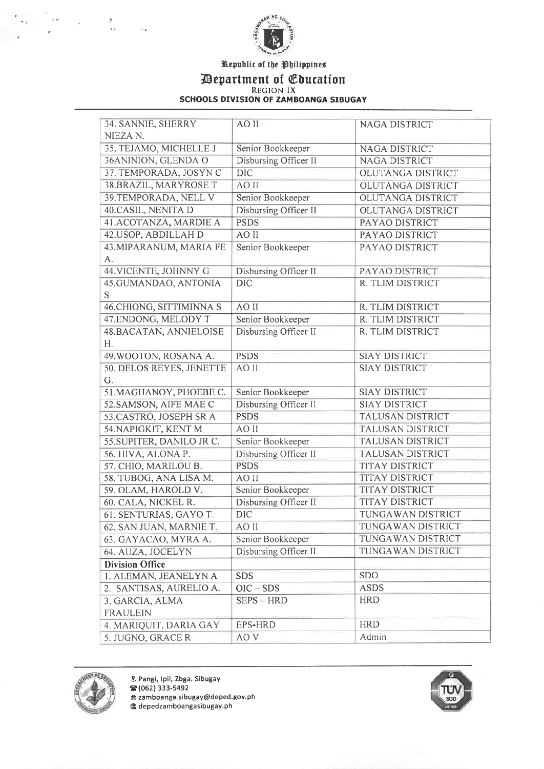

## Republic of the fhilippineu Mepartment of Cbucation REGION IX SCHOOLS DIVISION OF ZAMBOANGA SIBUGAY

| 34. SANNIE, SHERRY       | AO II                 | <b>NAGA DISTRICT</b>     |
|--------------------------|-----------------------|--------------------------|
| NIEZA N.                 |                       |                          |
| 35. TEJAMO, MICHELLE J   | Senior Bookkeeper     | NAGA DISTRICT            |
| 36ANINION, GLENDA O      | Disbursing Officer II | NAGA DISTRICT            |
| 37. TEMPORADA, JOSYN C   | <b>DIC</b>            | OLUTANGA DISTRICT        |
| 38.BRAZIL, MARYROSE T    | AO II                 | OLUTANGA DISTRICT        |
| 39. TEMPORADA, NELL V    | Senior Bookkeeper     | OLUTANGA DISTRICT        |
| 40.CASIL, NENITA D       | Disbursing Officer II | <b>OLUTANGA DISTRICT</b> |
| 41.ACOTANZA, MARDIE A    | <b>PSDS</b>           | PAYAO DISTRICT           |
| 42. USOP, ABDILLAH D     | AO II                 | PAYAO DISTRICT           |
| 43. MIPARANUM, MARIA FE  | Senior Bookkeeper     | PAYAO DISTRICT           |
| A.                       |                       |                          |
| 44. VICENTE, JOHNNY G    | Disbursing Officer II | PAYAO DISTRICT           |
| 45.GUMANDAO, ANTONIA     | <b>DIC</b>            | R. TLIM DISTRICT         |
| S                        |                       |                          |
| 46. CHIONG, SITTIMINNA S | AO II                 | R. TLIM DISTRICT         |
| 47.ENDONG, MELODY T      | Senior Bookkeeper     | R. TLIM DISTRICT         |
| 48.BACATAN, ANNIELOISE   | Disbursing Officer II | R. TLIM DISTRICT         |
| H.                       |                       |                          |
| 49. WOOTON, ROSANA A.    | <b>PSDS</b>           | <b>SIAY DISTRICT</b>     |
| 50. DELOS REYES, JENETTE | AO II                 | <b>SIAY DISTRICT</b>     |
| G.                       |                       |                          |
| 51. MAGHANOY, PHOEBE C.  | Senior Bookkeeper     | <b>SIAY DISTRICT</b>     |
| 52.SAMSON, AIFE MAE C    | Disbursing Officer II | <b>SIAY DISTRICT</b>     |
| 53.CASTRO, JOSEPH SR A   | <b>PSDS</b>           | <b>TALUSAN DISTRICT</b>  |
| 54. NAPIGKIT, KENT M     | AO II                 | <b>TALUSAN DISTRICT</b>  |
| 55.SUPITER, DANILO JR C. | Senior Bookkeeper     | <b>TALUSAN DISTRICT</b>  |
| 56. HIVA, ALONA P.       | Disbursing Officer II | <b>TALUSAN DISTRICT</b>  |
| 57. CHIO, MARILOU B.     | <b>PSDS</b>           | <b>TITAY DISTRICT</b>    |
| 58. TUBOG, ANA LISA M.   | AO II                 | <b>TITAY DISTRICT</b>    |
| 59. OLAM, HAROLD V.      | Senior Bookkeeper     | <b>TITAY DISTRICT</b>    |
| 60. CALA, NICKEL R.      | Disbursing Officer II | <b>TITAY DISTRICT</b>    |
| 61. SENTURIAS, GAYO T.   | <b>DIC</b>            | TUNGAWAN DISTRICT        |
| 62. SAN JUAN, MARNIE T.  | AO II                 | TUNGAWAN DISTRICT        |
| 63. GAYACAO, MYRA A.     | Senior Bookkeeper     | TUNGAWAN DISTRICT        |
| 64. AUZA, JOCELYN        | Disbursing Officer II | TUNGAWAN DISTRICT        |
| <b>Division Office</b>   |                       |                          |
| 1. ALEMAN, JEANELYN A    | <b>SDS</b>            | <b>SDO</b>               |
| 2. SANTISAS, AURELIO A.  | $OIC - SDS$           | <b>ASDS</b>              |
| 3. GARCIA, ALMA          | SEPS-HRD              | <b>HRD</b>               |
| <b>FRAULEIN</b>          |                       |                          |
| 4. MARIQUIT, DARIA GAY   | EPS-HRD               | <b>HRD</b>               |
| 5. JUGNO, GRACE R        | AO <sub>V</sub>       | Admin                    |



 $\overline{K_{\rm N}}$  and

 $\bar{c}$ 

 $\sim$   $\alpha$ 

Pangi, Ipil, Zbga. Sibugay  $\mathbf{R}(062)$  333-5492 A zamboanga.sibugay@deped.gov.ph depedzamboangasibugay.ph

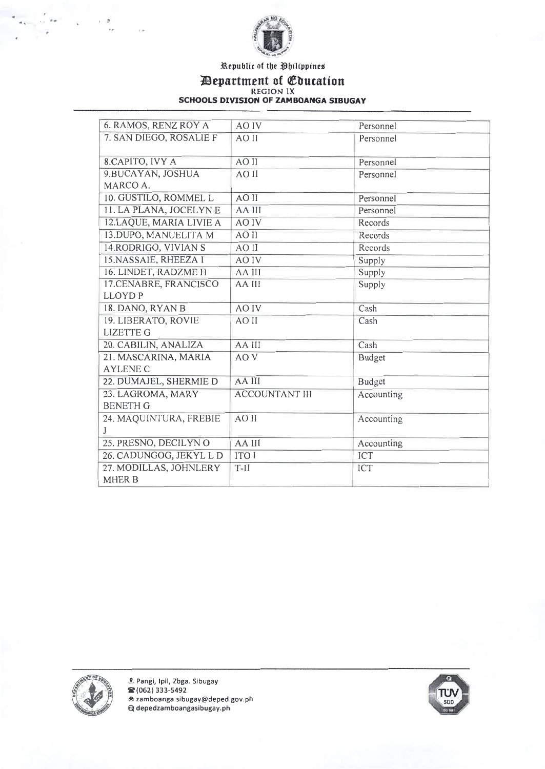

Republic of the Philippines

**EXECUTE IN EXAMPLE 15 APPRAMENT OF SCHOOLS DIVISION OF ZAMBOANGA SIBUGAY** 

| 6. RAMOS, RENZ ROY A    | AO IV                 | Personnel     |
|-------------------------|-----------------------|---------------|
| 7. SAN DIEGO, ROSALIE F | AO II                 | Personnel     |
| 8.CAPITO, IVY A         | AO II                 | Personnel     |
| 9.BUCAYAN, JOSHUA       | AO II                 | Personnel     |
| MARCO A.                |                       |               |
| 10. GUSTILO, ROMMEL L   | AO II                 | Personnel     |
| 11. LA PLANA, JOCELYN E | AA III                | Personnel     |
| 12.LAQUE, MARIA LIVIE A | <b>AO IV</b>          | Records       |
| 13.DUPO, MANUELITA M    | AO II                 | Records       |
| 14. RODRIGO, VIVIANS    | AO II                 | Records       |
| 15.NASSAIE, RHEEZA I    | <b>AO IV</b>          | Supply        |
| 16. LINDET, RADZME H    | AA III                | Supply        |
| 17.CENABRE, FRANCISCO   | AA III                | Supply        |
| <b>LLOYDP</b>           |                       |               |
| 18. DANO, RYAN B        | AO IV                 | Cash          |
| 19. LIBERATO, ROVIE     | AO II                 | Cash          |
| <b>LIZETTE G</b>        |                       |               |
| 20. CABILIN, ANALIZA    | AA III                | Cash          |
| 21. MASCARINA, MARIA    | AO <sub>V</sub>       | <b>Budget</b> |
| <b>AYLENE C</b>         |                       |               |
| 22. DUMAJEL, SHERMIE D  | AA III                | <b>Budget</b> |
| 23. LAGROMA, MARY       | <b>ACCOUNTANT III</b> | Accounting    |
| <b>BENETH G</b>         |                       |               |
| 24. MAQUINTURA, FREBIE  | AO II                 | Accounting    |
| $\mathbf{J}$            |                       |               |
| 25. PRESNO, DECILYNO    | AA III                | Accounting    |
| 26. CADUNGOG, JEKYL L D | <b>ITO I</b>          | ICT           |
| 27. MODILLAS, JOHNLERY  | $T-II$                | ICT           |
| <b>MHER B</b>           |                       |               |



 $\sigma_{\rm eff}$ 

 $\overline{\mathbf{r}}$ 

 $\mathbf{g}^{\mathrm{max}}$